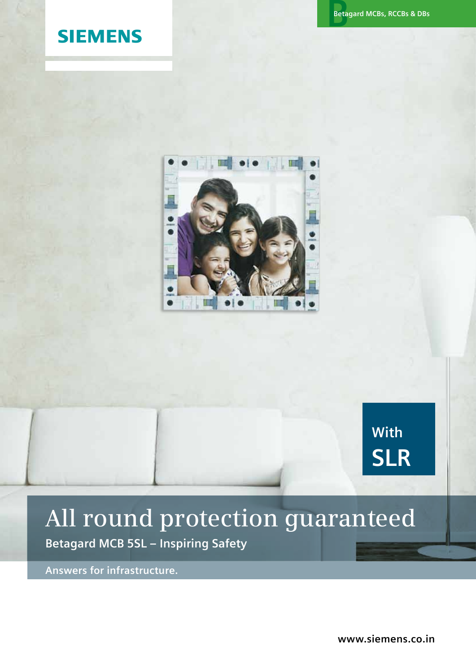## **SIEMENS**



## **With SLR**

# **All round protection guaranteed**

**Betagard MCB 5SL – Inspiring Safety**

**Answers for infrastructure.**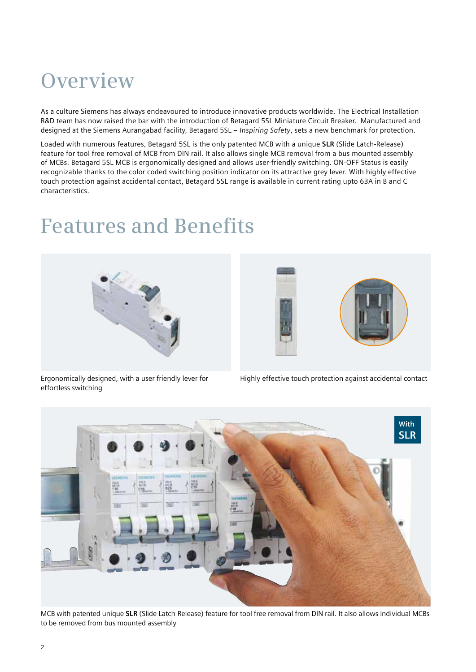## **Overview**

As a culture Siemens has always endeavoured to introduce innovative products worldwide. The Electrical Installation R&D team has now raised the bar with the introduction of Betagard 5SL Miniature Circuit Breaker. Manufactured and designed at the Siemens Aurangabad facility, Betagard 5SL – *Inspiring Safety*, sets a new benchmark for protection.

Loaded with numerous features, Betagard 5SL is the only patented MCB with a unique **SLR** (Slide Latch-Release) feature for tool free removal of MCB from DIN rail. It also allows single MCB removal from a bus mounted assembly of MCBs. Betagard 5SL MCB is ergonomically designed and allows user-friendly switching. ON-OFF Status is easily recognizable thanks to the color coded switching position indicator on its attractive grey lever. With highly effective touch protection against accidental contact, Betagard 5SL range is available in current rating upto 63A in B and C characteristics.

## **Features and Benefits**





Ergonomically designed, with a user friendly lever for effortless switching

Highly effective touch protection against accidental contact



MCB with patented unique **SLR** (Slide Latch-Release) feature for tool free removal from DIN rail. It also allows individual MCBs to be removed from bus mounted assembly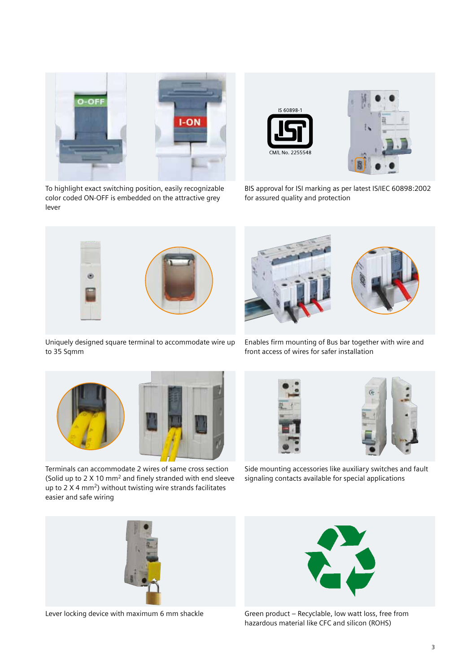

To highlight exact switching position, easily recognizable color coded ON-OFF is embedded on the attractive grey lever





BIS approval for ISI marking as per latest IS/IEC 60898:2002 for assured quality and protection



Uniquely designed square terminal to accommodate wire up to 35 Sqmm



Enables firm mounting of Bus bar together with wire and front access of wires for safer installation



Terminals can accommodate 2 wires of same cross section (Solid up to 2 X 10 mm2 and finely stranded with end sleeve up to 2 X 4 mm<sup>2</sup>) without twisting wire strands facilitates easier and safe wiring





Side mounting accessories like auxiliary switches and fault signaling contacts available for special applications





Lever locking device with maximum 6 mm shackle Green product – Recyclable, low watt loss, free from hazardous material like CFC and silicon (ROHS)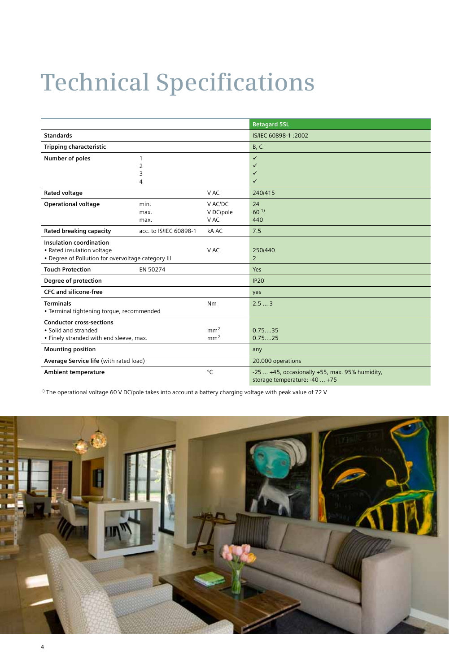# **Technical Specifications**

|                                                            |                        |                 | <b>Betagard 5SL</b>                                |
|------------------------------------------------------------|------------------------|-----------------|----------------------------------------------------|
| <b>Standards</b>                                           |                        |                 | IS/IEC 60898-1:2002                                |
| Tripping characteristic                                    |                        |                 | B, C                                               |
| Number of poles                                            | 1                      |                 | $\checkmark$                                       |
|                                                            | $\overline{2}$         |                 | $\checkmark$                                       |
|                                                            | 3                      |                 | ✓                                                  |
|                                                            | 4                      |                 | ✓                                                  |
| Rated voltage                                              |                        | V AC            | 240/415                                            |
| <b>Operational voltage</b>                                 | min.                   | V AC/DC         | 24                                                 |
|                                                            | max.                   | V DC/pole       | 60 <sup>1</sup>                                    |
|                                                            | max.                   | V AC            | 440                                                |
| <b>Rated breaking capacity</b>                             | acc. to IS/IEC 60898-1 | kA AC           | 7.5                                                |
| <b>Insulation coordination</b>                             |                        |                 |                                                    |
| • Rated insulation voltage                                 |                        | V AC            | 250/440                                            |
| • Degree of Pollution for overvoltage category III         |                        |                 | $\overline{2}$                                     |
| <b>Touch Protection</b>                                    | EN 50274               |                 | Yes                                                |
| Degree of protection                                       |                        |                 | <b>IP20</b>                                        |
| <b>CFC and silicone-free</b>                               |                        |                 | yes                                                |
| <b>Terminals</b>                                           |                        | Nm              | 2.53                                               |
| • Terminal tightening torque, recommended                  |                        |                 |                                                    |
| <b>Conductor cross-sections</b>                            |                        |                 |                                                    |
| • Solid and stranded                                       |                        | mm <sup>2</sup> | 0.7535                                             |
| • Finely stranded with end sleeve, max.<br>mm <sup>2</sup> |                        |                 | 0.7525                                             |
| <b>Mounting position</b>                                   |                        |                 | any                                                |
| Average Service life (with rated load)                     |                        |                 | 20.000 operations                                  |
| <b>Ambient temperature</b>                                 |                        | $^{\circ}$ C    | $-25+45$ , occasionally $+55$ , max. 95% humidity, |
|                                                            |                        |                 | storage temperature: -40  +75                      |

1) The operational voltage 60 V DC/pole takes into account a battery charging voltage with peak value of 72 V

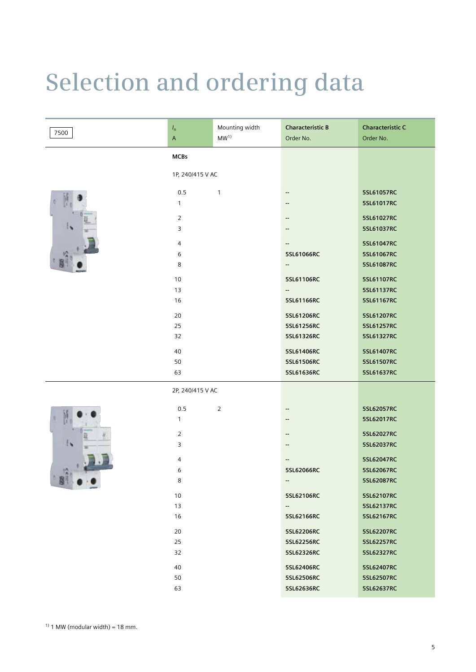# **Selection and ordering data**

| 7500 | $I_{\mathsf{n}}$<br>$\mathsf A$ | Mounting width<br>MW <sup>1</sup> | <b>Characteristic B</b><br>Order No. | <b>Characteristic C</b><br>Order No. |
|------|---------------------------------|-----------------------------------|--------------------------------------|--------------------------------------|
|      | <b>MCBs</b>                     |                                   |                                      |                                      |
|      | 1P, 240/415 V AC                |                                   |                                      |                                      |
|      | 0.5                             | $\mathbf{1}$                      | ⊷                                    | 5SL61057RC                           |
|      | $\mathbf{1}$                    |                                   | --                                   | 5SL61017RC                           |
|      | $\overline{2}$                  |                                   | --                                   | 5SL61027RC                           |
|      | $\overline{3}$                  |                                   |                                      | 5SL61037RC                           |
|      | 4                               |                                   | --                                   | 5SL61047RC                           |
|      | 6                               |                                   | 5SL61066RC                           | 5SL61067RC                           |
|      | 8                               |                                   | −                                    | 5SL61087RC                           |
|      | 10                              |                                   | 5SL61106RC                           | 5SL61107RC                           |
|      | 13                              |                                   | н.                                   | 5SL61137RC                           |
|      | 16                              |                                   | 5SL61166RC                           | 5SL61167RC                           |
|      | 20                              |                                   | 5SL61206RC                           | 5SL61207RC                           |
|      | 25                              |                                   | 5SL61256RC                           | 5SL61257RC                           |
|      | 32                              |                                   | 5SL61326RC                           | 5SL61327RC                           |
|      | 40                              |                                   | 5SL61406RC                           | 5SL61407RC                           |
|      | 50                              |                                   | 5SL61506RC                           | 5SL61507RC                           |
|      | 63                              |                                   | 5SL61636RC                           | 5SL61637RC                           |
|      | 2P, 240/415 V AC                |                                   |                                      |                                      |
|      | 0.5                             | $\overline{2}$                    | --                                   | 5SL62057RC                           |
|      | $\mathbf{1}$                    |                                   | --                                   | 5SL62017RC                           |
|      | $\overline{2}$                  |                                   | --                                   | 5SL62027RC                           |
|      | 3                               |                                   | --                                   | 5SL62037RC                           |
|      | $\overline{4}$                  |                                   | --                                   | 5SL62047RC                           |
|      | 6                               |                                   | 5SL62066RC                           | 5SL62067RC                           |
|      | 8                               |                                   | --                                   | 5SL62087RC                           |
|      | 10                              |                                   | 5SL62106RC                           | 5SL62107RC                           |
|      | 13                              |                                   | −−                                   | 5SL62137RC                           |
|      | 16                              |                                   | 5SL62166RC                           | 5SL62167RC                           |
|      | 20                              |                                   | 5SL62206RC                           | 5SL62207RC                           |
|      | 25                              |                                   | 5SL62256RC                           | 5SL62257RC                           |
|      | 32                              |                                   | 5SL62326RC                           | 5SL62327RC                           |
|      | 40                              |                                   | 5SL62406RC                           | 5SL62407RC                           |
|      | 50                              |                                   | 5SL62506RC                           | 5SL62507RC                           |
|      | 63                              |                                   | 5SL62636RC                           | 5SL62637RC                           |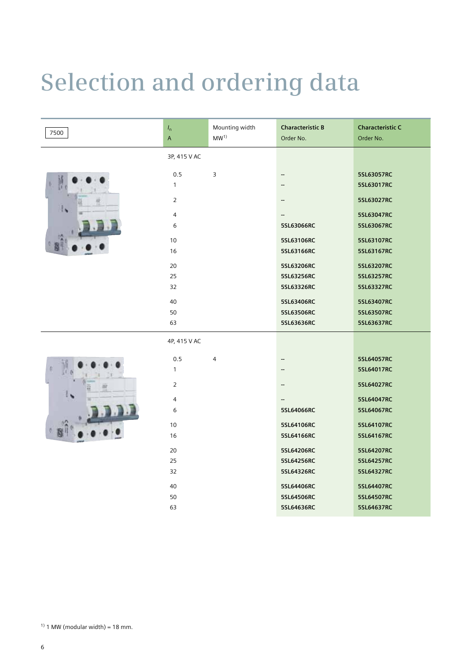# **Selection and ordering data**

| 7500 | $I_{\mathsf{n}}$ | Mounting width  | <b>Characteristic B</b>  | <b>Characteristic C</b> |
|------|------------------|-----------------|--------------------------|-------------------------|
|      | $\mathsf A$      | MW <sup>1</sup> | Order No.                | Order No.               |
|      | 3P, 415 V AC     |                 |                          |                         |
|      | 0.5              | 3               | $\overline{\phantom{a}}$ | 5SL63057RC              |
|      | $\mathbf{1}$     |                 | --                       | 5SL63017RC              |
|      | $\overline{2}$   |                 | --                       | 5SL63027RC              |
|      | 4                |                 | --                       | 5SL63047RC              |
|      | 6                |                 | 5SL63066RC               | 5SL63067RC              |
|      | 10               |                 | 5SL63106RC               | 5SL63107RC              |
|      | 16               |                 | 5SL63166RC               | 5SL63167RC              |
|      | 20               |                 | 5SL63206RC               | 5SL63207RC              |
|      | 25               |                 | 5SL63256RC               | 5SL63257RC              |
|      | 32               |                 | 5SL63326RC               | 5SL63327RC              |
|      |                  |                 |                          |                         |
|      | 40               |                 | 5SL63406RC               | 5SL63407RC              |
|      | 50               |                 | 5SL63506RC               | 5SL63507RC              |
|      | 63               |                 | 5SL63636RC               | 5SL63637RC              |
|      | 4P, 415 V AC     |                 |                          |                         |
|      | 0.5              | $\overline{4}$  | --                       | 5SL64057RC              |
|      | $\mathbf{1}$     |                 | $\overline{a}$           | 5SL64017RC              |
|      | $\overline{2}$   |                 | --                       | 5SL64027RC              |
|      | $\overline{4}$   |                 | --                       | 5SL64047RC              |
|      | 6                |                 | 5SL64066RC               | 5SL64067RC              |
|      | 10               |                 | 5SL64106RC               | 5SL64107RC              |
|      | 16               |                 | 5SL64166RC               | 5SL64167RC              |
|      | 20               |                 | 5SL64206RC               | 5SL64207RC              |
|      | 25               |                 | 5SL64256RC               | 5SL64257RC              |
|      | 32               |                 | 5SL64326RC               | 5SL64327RC              |
|      | 40               |                 | 5SL64406RC               | 5SL64407RC              |
|      | 50               |                 | 5SL64506RC               | 5SL64507RC              |
|      | 63               |                 | 5SL64636RC               | 5SL64637RC              |
|      |                  |                 |                          |                         |

 $1)$  1 MW (modular width) = 18 mm.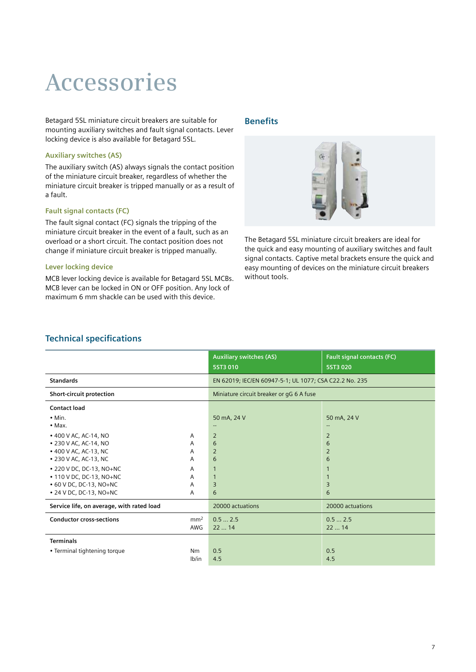## **Accessories**

Betagard 5SL miniature circuit breakers are suitable for mounting auxiliary switches and fault signal contacts. Lever locking device is also available for Betagard 5SL.

## **Auxiliary switches (AS)**

The auxiliary switch (AS) always signals the contact position of the miniature circuit breaker, regardless of whether the miniature circuit breaker is tripped manually or as a result of a fault.

## **Fault signal contacts (FC)**

The fault signal contact (FC) signals the tripping of the miniature circuit breaker in the event of a fault, such as an overload or a short circuit. The contact position does not change if miniature circuit breaker is tripped manually.

## **Lever locking device**

MCB lever locking device is available for Betagard 5SL MCBs. MCB lever can be locked in ON or OFF position. Any lock of maximum 6 mm shackle can be used with this device.

## **Benefits**

![](_page_6_Picture_9.jpeg)

The Betagard 5SL miniature circuit breakers are ideal for the quick and easy mounting of auxiliary switches and fault signal contacts. Captive metal brackets ensure the quick and easy mounting of devices on the miniature circuit breakers without tools.

## **Technical specifications**

|                                                                                                            |                        | <b>Auxiliary switches (AS)</b><br>5ST3 010             | <b>Fault signal contacts (FC)</b><br>5ST3 020 |  |  |
|------------------------------------------------------------------------------------------------------------|------------------------|--------------------------------------------------------|-----------------------------------------------|--|--|
| <b>Standards</b>                                                                                           |                        | EN 62019; IEC/EN 60947-5-1; UL 1077; CSA C22.2 No. 235 |                                               |  |  |
| Short-circuit protection                                                                                   |                        | Miniature circuit breaker or gG 6 A fuse               |                                               |  |  |
| Contact load                                                                                               |                        |                                                        |                                               |  |  |
| $\bullet$ Min.<br>$\bullet$ Max.                                                                           |                        | 50 mA, 24 V<br>$\overline{\phantom{a}}$                | 50 mA, 24 V<br>--                             |  |  |
| • 400 V AC, AC-14, NO<br>• 230 V AC, AC-14, NO<br>• 400 V AC, AC-13, NC<br>• 230 V AC, AC-13, NC           | A<br>A<br>A<br>A       | 2<br>6<br>$\overline{2}$<br>6                          | 2<br>6<br>$\overline{2}$<br>6                 |  |  |
| • 220 V DC, DC-13, NO+NC<br>• 110 V DC, DC-13, NO+NC<br>• 60 V DC, DC-13, NO+NC<br>• 24 V DC, DC-13, NO+NC | Α<br>A<br>A<br>A       | $\mathbf{1}$<br>$\mathbf{1}$<br>3<br>6                 | 3<br>6                                        |  |  |
| Service life, on average, with rated load                                                                  |                        | 20000 actuations                                       | 20000 actuations                              |  |  |
| <b>Conductor cross-sections</b>                                                                            | mm <sup>2</sup><br>AWG | 0.52.5<br>2214                                         | 0.52.5<br>2214                                |  |  |
| <b>Terminals</b><br>• Terminal tightening torque                                                           | Nm<br>lb/in            | 0.5<br>4.5                                             | 0.5<br>4.5                                    |  |  |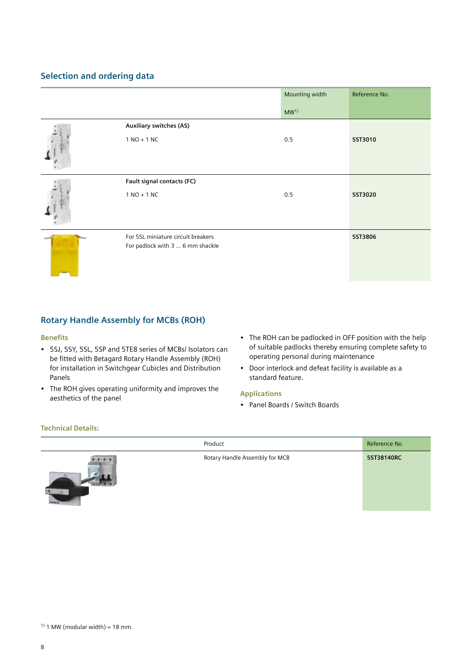## **Selection and ordering data**

|                                    | Mounting width  | Reference No. |
|------------------------------------|-----------------|---------------|
|                                    | MW <sup>1</sup> |               |
| <b>Auxiliary switches (AS)</b>     |                 |               |
| $1 NO + 1 NC$                      | 0.5             | 5ST3010       |
| Fault signal contacts (FC)         |                 |               |
| $1 NO + 1 NC$                      | 0.5             | 5ST3020       |
| For 5SL miniature circuit breakers |                 | 5ST3806       |
| For padlock with 3  6 mm shackle   |                 |               |

## **Rotary Handle Assembly for MCBs (ROH)**

### **Benefits**

- 5SJ, 5SY, 5SL, 5SP and 5TE8 series of MCBs/ Isolators can be fitted with Betagard Rotary Handle Assembly (ROH) for installation in Switchgear Cubicles and Distribution Panels
- The ROH gives operating uniformity and improves the aesthetics of the panel
- The ROH can be padlocked in OFF position with the help of suitable padlocks thereby ensuring complete safety to operating personal during maintenance
- Door interlock and defeat facility is available as a standard feature.

## **Applications**

• Panel Boards / Switch Boards

## **Technical Details:**

![](_page_7_Picture_11.jpeg)

|                                      | Product                        | Reference No |
|--------------------------------------|--------------------------------|--------------|
| 20111<br><b>STEP OF STRAIN</b><br>A4 | Rotary Handle Assembly for MCB | 5ST38140RC   |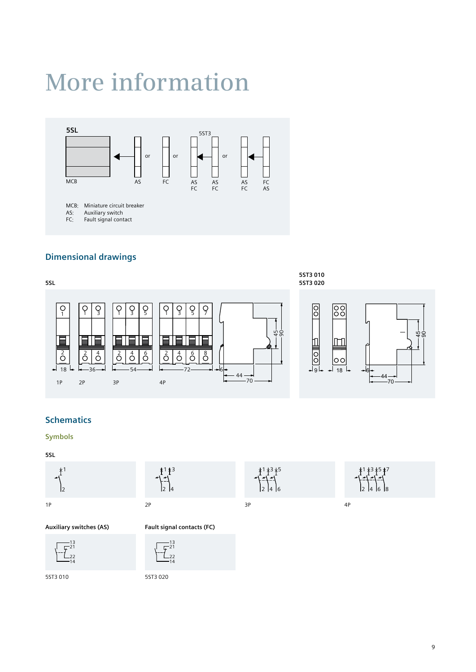## **More information**

![](_page_8_Figure_1.jpeg)

## **Dimensional drawings**

![](_page_8_Figure_3.jpeg)

3

 

## **Schematics**

### **Symbols**

#### **5SL**

![](_page_8_Figure_7.jpeg)

![](_page_8_Figure_8.jpeg)

![](_page_8_Picture_9.jpeg)

1P 2P 3P 4P

**Auxiliary switches (AS) Fault signal contacts (FC)**

![](_page_8_Picture_12.jpeg)

21

![](_page_8_Picture_14.jpeg)

5ST3 010 5ST3 020

![](_page_8_Figure_17.jpeg)

![](_page_8_Figure_18.jpeg)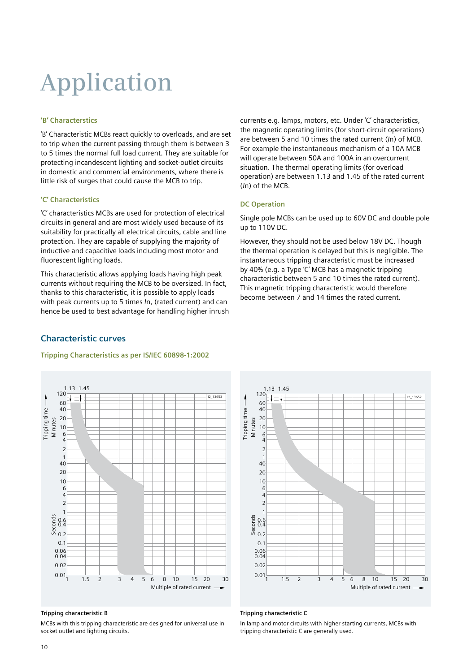# **Application**

### **'B' Characterstics**

'B' Characteristic MCBs react quickly to overloads, and are set to trip when the current passing through them is between 3 to 5 times the normal full load current. They are suitable for protecting incandescent lighting and socket-outlet circuits in domestic and commercial environments, where there is little risk of surges that could cause the MCB to trip.

## **'C' Characteristics**

'C' characteristics MCBs are used for protection of electrical circuits in general and are most widely used because of its suitability for practically all electrical circuits, cable and line protection. They are capable of supplying the majority of inductive and capacitive loads including most motor and fluorescent lighting loads.

This characteristic allows applying loads having high peak currents without requiring the MCB to be oversized. In fact, thanks to this characteristic, it is possible to apply loads with peak currents up to 5 times *I*n, (rated current) and can hence be used to best advantage for handling higher inrush

currents e.g. lamps, motors, etc. Under 'C' characteristics, the magnetic operating limits (for short-circuit operations) are between 5 and 10 times the rated current (*I*n) of MCB. For example the instantaneous mechanism of a 10A MCB will operate between 50A and 100A in an overcurrent situation. The thermal operating limits (for overload operation) are between 1.13 and 1.45 of the rated current (*I*n) of the MCB.

### **DC Operation**

Single pole MCBs can be used up to 60V DC and double pole up to 110V DC.

However, they should not be used below 18V DC. Though the thermal operation is delayed but this is negligible. The instantaneous tripping characteristic must be increased by 40% (e.g. a Type 'C' MCB has a magnetic tripping characteristic between 5 and 10 times the rated current). This magnetic tripping characteristic would therefore become between 7 and 14 times the rated current.

## **Characteristic curves**

### **Tripping Characteristics as per IS/IEC 60898-1:2002**

![](_page_9_Figure_12.jpeg)

### **Tripping characteristic B**

MCBs with this tripping characteristic are designed for universal use in socket outlet and lighting circuits.

![](_page_9_Figure_15.jpeg)

#### **Tripping characteristic C**

In lamp and motor circuits with higher starting currents, MCBs with tripping characteristic C are generally used.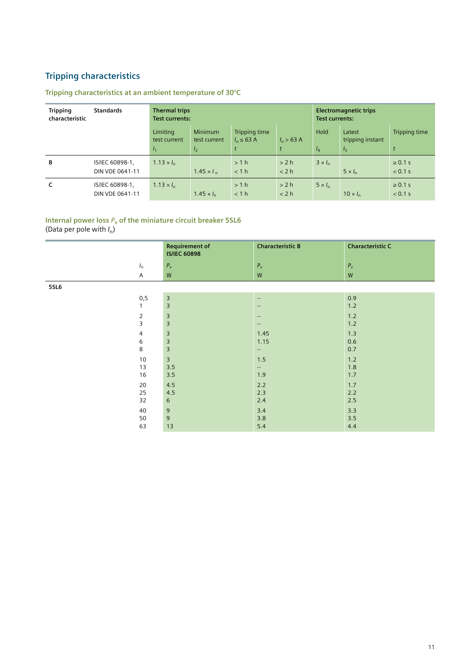## **Tripping characteristics**

## **Tripping characteristics at an ambient temperature of 30°C**

| <b>Tripping</b><br>characteristic | <b>Standards</b>                   | <b>Thermal trips</b><br><b>Test currents:</b> |                                                  |                                         | <b>Electromagnetic trips</b><br><b>Test currents:</b> |                      |                                              |                         |
|-----------------------------------|------------------------------------|-----------------------------------------------|--------------------------------------------------|-----------------------------------------|-------------------------------------------------------|----------------------|----------------------------------------------|-------------------------|
|                                   |                                    | Limiting<br>test current<br>I <sub>1</sub>    | <b>Minimum</b><br>test current<br>I <sub>2</sub> | <b>Tripping time</b><br>$l_n \leq 63$ A | $l_n$ > 63 A                                          | <b>Hold</b><br>$I_4$ | Latest<br>tripping instant<br>I <sub>5</sub> | Tripping time           |
| В                                 | IS/IEC 60898-1,<br>DIN VDE 0641-11 | $1.13 \times I_{n}$                           | $1.45 \times I_{n}$                              | >1 h<br>< 1 h                           | > 2 h<br>< 2 h                                        | $3 \times I_n$       | $5 \times l_{n}$                             | $\geq 0.1$ s<br>< 0.1 s |
| c                                 | IS/IEC 60898-1,<br>DIN VDE 0641-11 | $1.13 \times I_{n}$                           | $1.45 \times I_{n}$                              | >1 h<br>< 1 h                           | > 2 h<br>< 2 h                                        | $5 \times I_n$       | $10 \times I_n$                              | $\geq 0.1$ s<br>< 0.1 s |

## Internal power loss  $P_v$  of the miniature circuit breaker 5SL6

(Data per pole with *I*n)

|                | <b>Requirement of</b><br><b>IS/IEC 60898</b> | <b>Characteristic B</b>  | <b>Characteristic C</b> |
|----------------|----------------------------------------------|--------------------------|-------------------------|
| $I_{n}$        | $P_{\rm v}$                                  | $P_{\rm v}$              | $P_{\rm v}$             |
| $\overline{A}$ | ${\sf W}$                                    | W                        | W                       |
| 5SL6           |                                              |                          |                         |
| 0, 5           | $\overline{\mathbf{3}}$                      | $\overline{a}$           | 0.9                     |
| 1              | 3                                            | $\overline{a}$           | 1.2                     |
| $\overline{2}$ | $\overline{3}$                               | $\overline{\phantom{a}}$ | 1.2                     |
| 3              | 3                                            | $\overline{\phantom{a}}$ | 1.2                     |
| 4              | $\overline{3}$                               | 1.45                     | 1.3                     |
| 6              | 3                                            | 1.15                     | 0.6                     |
| 8              | 3                                            | $\overline{\phantom{a}}$ | 0.7                     |
| 10             | $\overline{3}$                               | $1.5$                    | 1.2                     |
| 13             | 3.5                                          | $\sim$                   | 1.8                     |
| 16             | 3.5                                          | 1.9                      | 1.7                     |
| 20             | 4.5                                          | 2.2                      | 1.7                     |
| 25             | 4.5                                          | 2.3                      | 2.2                     |
| 32             | 6                                            | $2.4$                    | 2.5                     |
| 40             | 9                                            | 3.4                      | 3.3                     |
| 50             | 9                                            | 3.8                      | 3.5                     |
| 63             | 13                                           | 5.4                      | 4.4                     |